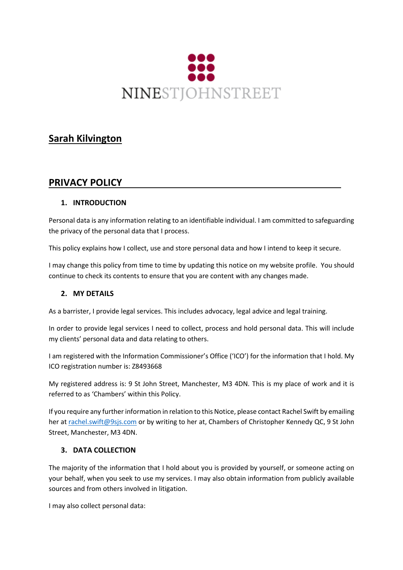

# **Sarah Kilvington**

## **PRIVACY POLICY**

## **1. INTRODUCTION**

Personal data is any information relating to an identifiable individual. I am committed to safeguarding the privacy of the personal data that I process.

This policy explains how I collect, use and store personal data and how I intend to keep it secure.

I may change this policy from time to time by updating this notice on my website profile. You should continue to check its contents to ensure that you are content with any changes made.

#### **2. MY DETAILS**

As a barrister, I provide legal services. This includes advocacy, legal advice and legal training.

In order to provide legal services I need to collect, process and hold personal data. This will include my clients' personal data and data relating to others.

I am registered with the Information Commissioner's Office ('ICO') for the information that I hold. My ICO registration number is: Z8493668

My registered address is: 9 St John Street, Manchester, M3 4DN. This is my place of work and it is referred to as 'Chambers' within this Policy.

If you require any further information in relation to this Notice, please contact Rachel Swift by emailing her at [rachel.swift@9sjs.com](mailto:rachel.swift@9sjs.com) or by writing to her at, Chambers of Christopher Kennedy QC, 9 St John Street, Manchester, M3 4DN.

#### **3. DATA COLLECTION**

The majority of the information that I hold about you is provided by yourself, or someone acting on your behalf, when you seek to use my services. I may also obtain information from publicly available sources and from others involved in litigation.

I may also collect personal data: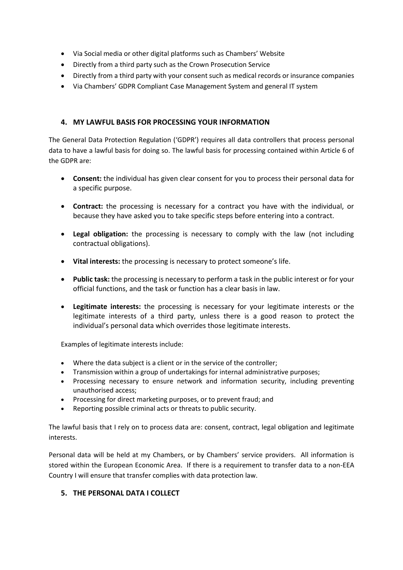- Via Social media or other digital platforms such as Chambers' Website
- Directly from a third party such as the Crown Prosecution Service
- Directly from a third party with your consent such as medical records or insurance companies
- Via Chambers' GDPR Compliant Case Management System and general IT system

#### **4. MY LAWFUL BASIS FOR PROCESSING YOUR INFORMATION**

The General Data Protection Regulation ('GDPR') requires all data controllers that process personal data to have a lawful basis for doing so. The lawful basis for processing contained within Article 6 of the GDPR are:

- **Consent:** the individual has given clear consent for you to process their personal data for a specific purpose.
- **Contract:** the processing is necessary for a contract you have with the individual, or because they have asked you to take specific steps before entering into a contract.
- **Legal obligation:** the processing is necessary to comply with the law (not including contractual obligations).
- **Vital interests:** the processing is necessary to protect someone's life.
- **Public task:** the processing is necessary to perform a task in the public interest or for your official functions, and the task or function has a clear basis in law.
- **Legitimate interests:** the processing is necessary for your legitimate interests or the legitimate interests of a third party, unless there is a good reason to protect the individual's personal data which overrides those legitimate interests.

Examples of legitimate interests include:

- Where the data subject is a client or in the service of the controller;
- Transmission within a group of undertakings for internal administrative purposes;
- Processing necessary to ensure network and information security, including preventing unauthorised access;
- Processing for direct marketing purposes, or to prevent fraud; and
- Reporting possible criminal acts or threats to public security.

The lawful basis that I rely on to process data are: consent, contract, legal obligation and legitimate interests.

Personal data will be held at my Chambers, or by Chambers' service providers. All information is stored within the European Economic Area. If there is a requirement to transfer data to a non-EEA Country I will ensure that transfer complies with data protection law.

## **5. THE PERSONAL DATA I COLLECT**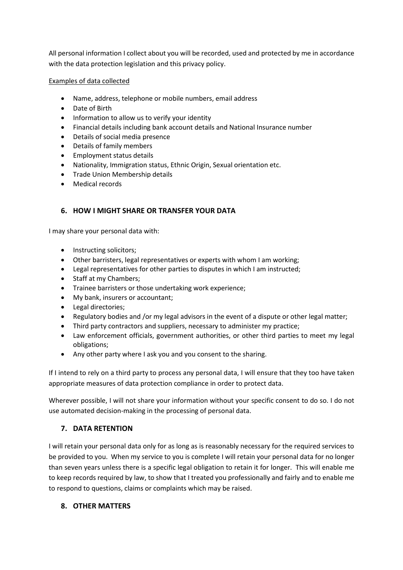All personal information I collect about you will be recorded, used and protected by me in accordance with the data protection legislation and this privacy policy.

#### Examples of data collected

- Name, address, telephone or mobile numbers, email address
- Date of Birth
- Information to allow us to verify your identity
- Financial details including bank account details and National Insurance number
- Details of social media presence
- Details of family members
- Employment status details
- Nationality, Immigration status, Ethnic Origin, Sexual orientation etc.
- Trade Union Membership details
- Medical records

## **6. HOW I MIGHT SHARE OR TRANSFER YOUR DATA**

I may share your personal data with:

- Instructing solicitors;
- Other barristers, legal representatives or experts with whom I am working;
- Legal representatives for other parties to disputes in which I am instructed;
- Staff at my Chambers;
- Trainee barristers or those undertaking work experience;
- My bank, insurers or accountant;
- Legal directories;
- Regulatory bodies and /or my legal advisors in the event of a dispute or other legal matter;
- Third party contractors and suppliers, necessary to administer my practice;
- Law enforcement officials, government authorities, or other third parties to meet my legal obligations;
- Any other party where I ask you and you consent to the sharing.

If I intend to rely on a third party to process any personal data, I will ensure that they too have taken appropriate measures of data protection compliance in order to protect data.

Wherever possible, I will not share your information without your specific consent to do so. I do not use automated decision-making in the processing of personal data.

## **7. DATA RETENTION**

I will retain your personal data only for as long as is reasonably necessary for the required services to be provided to you. When my service to you is complete I will retain your personal data for no longer than seven years unless there is a specific legal obligation to retain it for longer. This will enable me to keep records required by law, to show that I treated you professionally and fairly and to enable me to respond to questions, claims or complaints which may be raised.

#### **8. OTHER MATTERS**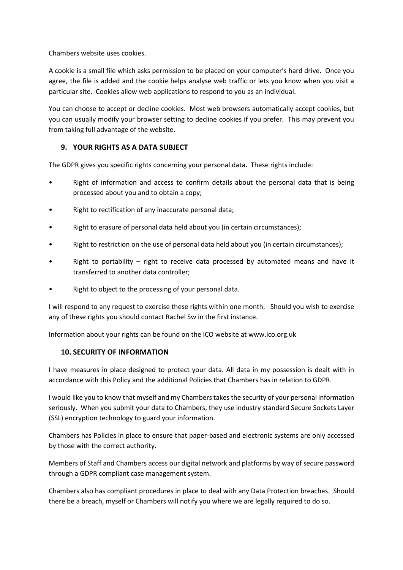Chambers website uses cookies.

A cookie is a small file which asks permission to be placed on your computer's hard drive. Once you agree, the file is added and the cookie helps analyse web traffic or lets you know when you visit a particular site. Cookies allow web applications to respond to you as an individual.

You can choose to accept or decline cookies. Most web browsers automatically accept cookies, but you can usually modify your browser setting to decline cookies if you prefer. This may prevent you from taking full advantage of the website.

### **9. YOUR RIGHTS AS A DATA SUBJECT**

The GDPR gives you specific rights concerning your personal data**.** These rights include:

- Right of information and access to confirm details about the personal data that is being processed about you and to obtain a copy;
- Right to rectification of any inaccurate personal data;
- Right to erasure of personal data held about you (in certain circumstances);
- Right to restriction on the use of personal data held about you (in certain circumstances);
- Right to portability  $-$  right to receive data processed by automated means and have it transferred to another data controller;
- Right to object to the processing of your personal data.

I will respond to any request to exercise these rights within one month. Should you wish to exercise any of these rights you should contact Rachel Sw in the first instance.

Information about your rights can be found on the ICO website at www.ico.org.uk

#### **10. SECURITY OF INFORMATION**

I have measures in place designed to protect your data. All data in my possession is dealt with in accordance with this Policy and the additional Policies that Chambers has in relation to GDPR.

I would like you to know that myself and my Chambers takes the security of your personal information seriously. When you submit your data to Chambers, they use industry standard Secure Sockets Layer (SSL) encryption technology to guard your information.

Chambers has Policies in place to ensure that paper-based and electronic systems are only accessed by those with the correct authority.

Members of Staff and Chambers access our digital network and platforms by way of secure password through a GDPR compliant case management system.

Chambers also has compliant procedures in place to deal with any Data Protection breaches. Should there be a breach, myself or Chambers will notify you where we are legally required to do so.